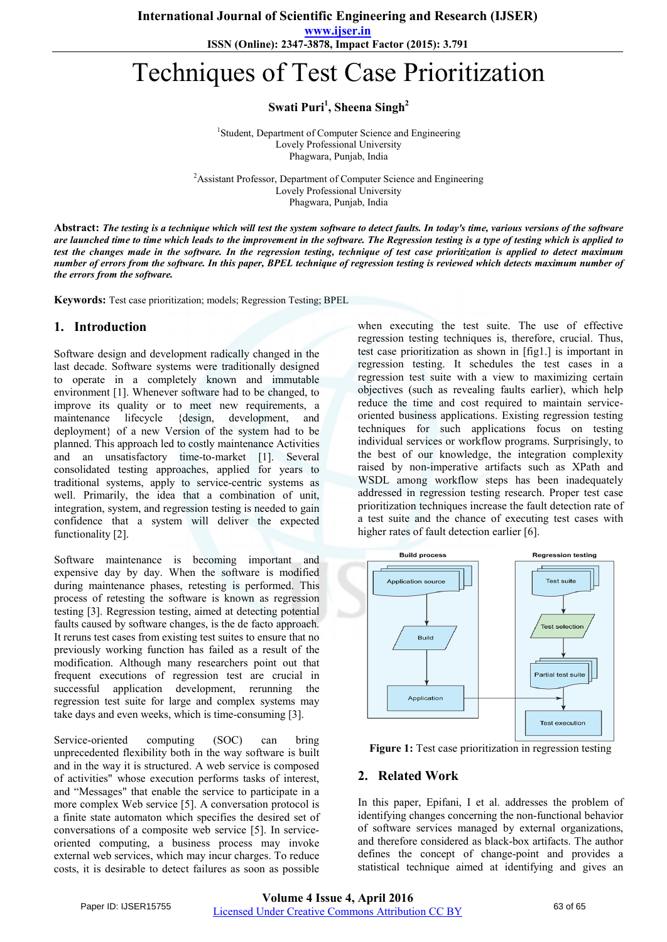**www.ijser.in**

**ISSN (Online): 2347-3878, Impact Factor (2015): 3.791**

# Techniques of Test Case Prioritization

**Swati Puri<sup>1</sup> , Sheena Singh2**

<sup>1</sup>Student, Department of Computer Science and Engineering Lovely Professional University Phagwara, Punjab, India

<sup>2</sup> Assistant Professor, Department of Computer Science and Engineering Lovely Professional University Phagwara, Punjab, India

**Abstract:** *The testing is a technique which will test the system software to detect faults. In today's time, various versions of the software are launched time to time which leads to the improvement in the software. The Regression testing is a type of testing which is applied to test the changes made in the software. In the regression testing, technique of test case prioritization is applied to detect maximum number of errors from the software. In this paper, BPEL technique of regression testing is reviewed which detects maximum number of the errors from the software.*

**Keywords:** Test case prioritization; models; Regression Testing; BPEL

### **1. Introduction**

Software design and development radically changed in the last decade. Software systems were traditionally designed to operate in a completely known and immutable environment [1]. Whenever software had to be changed, to improve its quality or to meet new requirements, a maintenance lifecycle {design, development, and deployment} of a new Version of the system had to be planned. This approach led to costly maintenance Activities and an unsatisfactory time-to-market [1]. Several consolidated testing approaches, applied for years to traditional systems, apply to service-centric systems as well. Primarily, the idea that a combination of unit, integration, system, and regression testing is needed to gain confidence that a system will deliver the expected functionality [2].

Software maintenance is becoming important and expensive day by day. When the software is modified during maintenance phases, retesting is performed. This process of retesting the software is known as regression testing [3]. Regression testing, aimed at detecting potential faults caused by software changes, is the de facto approach. It reruns test cases from existing test suites to ensure that no previously working function has failed as a result of the modification. Although many researchers point out that frequent executions of regression test are crucial in successful application development, rerunning the regression test suite for large and complex systems may take days and even weeks, which is time-consuming [3].

Service-oriented computing (SOC) can bring unprecedented flexibility both in the way software is built and in the way it is structured. A web service is composed of activities" whose execution performs tasks of interest, and "Messages" that enable the service to participate in a more complex Web service [5]. A conversation protocol is a finite state automaton which specifies the desired set of conversations of a composite web service [5]. In serviceoriented computing, a business process may invoke external web services, which may incur charges. To reduce costs, it is desirable to detect failures as soon as possible

when executing the test suite. The use of effective regression testing techniques is, therefore, crucial. Thus, test case prioritization as shown in [fig1.] is important in regression testing. It schedules the test cases in a regression test suite with a view to maximizing certain objectives (such as revealing faults earlier), which help reduce the time and cost required to maintain serviceoriented business applications. Existing regression testing techniques for such applications focus on testing individual services or workflow programs. Surprisingly, to the best of our knowledge, the integration complexity raised by non-imperative artifacts such as XPath and WSDL among workflow steps has been inadequately addressed in regression testing research. Proper test case prioritization techniques increase the fault detection rate of a test suite and the chance of executing test cases with higher rates of fault detection earlier [6].



Figure 1: Test case prioritization in regression testing

# **2. Related Work**

In this paper, Epifani, I et al. addresses the problem of identifying changes concerning the non-functional behavior of software services managed by external organizations, and therefore considered as black-box artifacts. The author defines the concept of change-point and provides a statistical technique aimed at identifying and gives an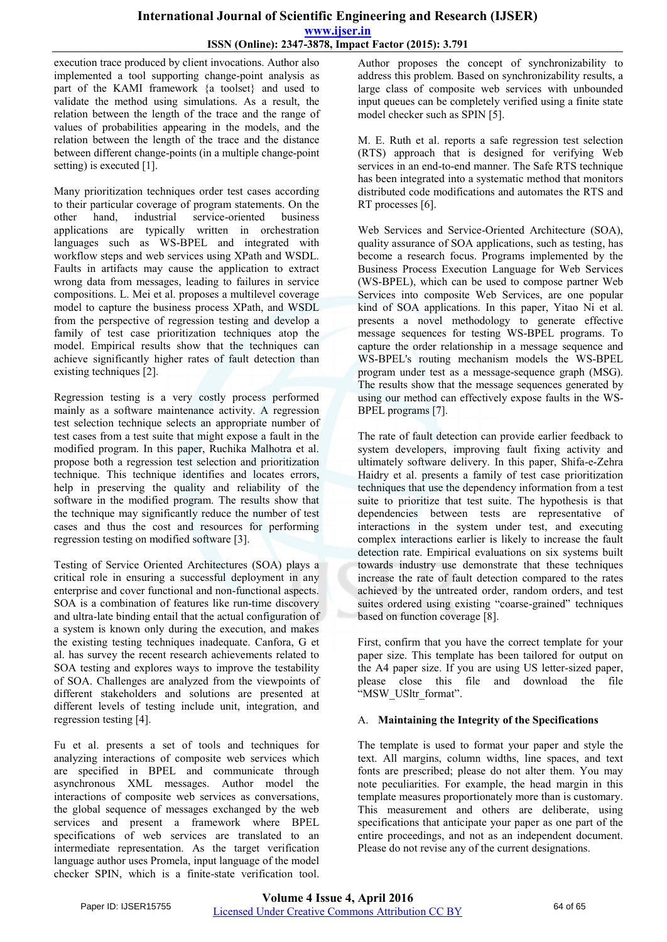# **International Journal of Scientific Engineering and Research (IJSER) www.ijser.in ISSN (Online): 2347-3878, Impact Factor (2015): 3.791**

execution trace produced by client invocations. Author also implemented a tool supporting change-point analysis as part of the KAMI framework {a toolset} and used to validate the method using simulations. As a result, the relation between the length of the trace and the range of values of probabilities appearing in the models, and the relation between the length of the trace and the distance between different change-points (in a multiple change-point setting) is executed [1].

Many prioritization techniques order test cases according to their particular coverage of program statements. On the other hand, industrial service-oriented business applications are typically written in orchestration languages such as WS-BPEL and integrated with workflow steps and web services using XPath and WSDL. Faults in artifacts may cause the application to extract wrong data from messages, leading to failures in service compositions. L. Mei et al. proposes a multilevel coverage model to capture the business process XPath, and WSDL from the perspective of regression testing and develop a family of test case prioritization techniques atop the model. Empirical results show that the techniques can achieve significantly higher rates of fault detection than existing techniques [2].

Regression testing is a very costly process performed mainly as a software maintenance activity. A regression test selection technique selects an appropriate number of test cases from a test suite that might expose a fault in the modified program. In this paper, Ruchika Malhotra et al. propose both a regression test selection and prioritization technique. This technique identifies and locates errors, help in preserving the quality and reliability of the software in the modified program. The results show that the technique may significantly reduce the number of test cases and thus the cost and resources for performing regression testing on modified software [3].

Testing of Service Oriented Architectures (SOA) plays a critical role in ensuring a successful deployment in any enterprise and cover functional and non-functional aspects. SOA is a combination of features like run-time discovery and ultra-late binding entail that the actual configuration of a system is known only during the execution, and makes the existing testing techniques inadequate. Canfora, G et al. has survey the recent research achievements related to SOA testing and explores ways to improve the testability of SOA. Challenges are analyzed from the viewpoints of different stakeholders and solutions are presented at different levels of testing include unit, integration, and regression testing [4].

Fu et al. presents a set of tools and techniques for analyzing interactions of composite web services which are specified in BPEL and communicate through asynchronous XML messages. Author model the interactions of composite web services as conversations, the global sequence of messages exchanged by the web services and present a framework where BPEL specifications of web services are translated to an intermediate representation. As the target verification language author uses Promela, input language of the model checker SPIN, which is a finite-state verification tool.

Author proposes the concept of synchronizability to address this problem. Based on synchronizability results, a large class of composite web services with unbounded input queues can be completely verified using a finite state model checker such as SPIN [5].

M. E. Ruth et al. reports a safe regression test selection (RTS) approach that is designed for verifying Web services in an end-to-end manner. The Safe RTS technique has been integrated into a systematic method that monitors distributed code modifications and automates the RTS and RT processes [6].

Web Services and Service-Oriented Architecture (SOA), quality assurance of SOA applications, such as testing, has become a research focus. Programs implemented by the Business Process Execution Language for Web Services (WS-BPEL), which can be used to compose partner Web Services into composite Web Services, are one popular kind of SOA applications. In this paper, Yitao Ni et al. presents a novel methodology to generate effective message sequences for testing WS-BPEL programs. To capture the order relationship in a message sequence and WS-BPEL's routing mechanism models the WS-BPEL program under test as a message-sequence graph (MSG). The results show that the message sequences generated by using our method can effectively expose faults in the WS-BPEL programs [7].

The rate of fault detection can provide earlier feedback to system developers, improving fault fixing activity and ultimately software delivery. In this paper, Shifa-e-Zehra Haidry et al. presents a family of test case prioritization techniques that use the dependency information from a test suite to prioritize that test suite. The hypothesis is that dependencies between tests are representative of interactions in the system under test, and executing complex interactions earlier is likely to increase the fault detection rate. Empirical evaluations on six systems built towards industry use demonstrate that these techniques increase the rate of fault detection compared to the rates achieved by the untreated order, random orders, and test suites ordered using existing "coarse-grained" techniques based on function coverage [8].

First, confirm that you have the correct template for your paper size. This template has been tailored for output on the A4 paper size. If you are using US letter-sized paper, please close this file and download the file "MSW\_USltr\_format".

#### A. **Maintaining the Integrity of the Specifications**

The template is used to format your paper and style the text. All margins, column widths, line spaces, and text fonts are prescribed; please do not alter them. You may note peculiarities. For example, the head margin in this template measures proportionately more than is customary. This measurement and others are deliberate, using specifications that anticipate your paper as one part of the entire proceedings, and not as an independent document. Please do not revise any of the current designations.